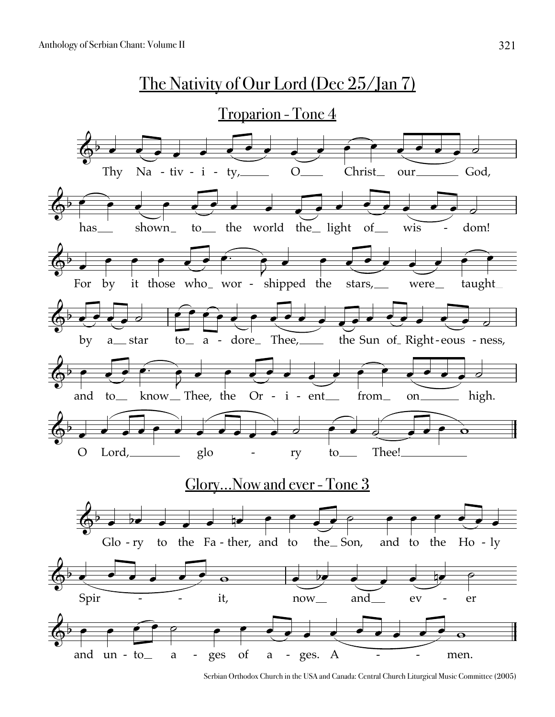

Serbian Orthodox Church in the USA and Canada: Central Church Liturgical Music Committee (2005)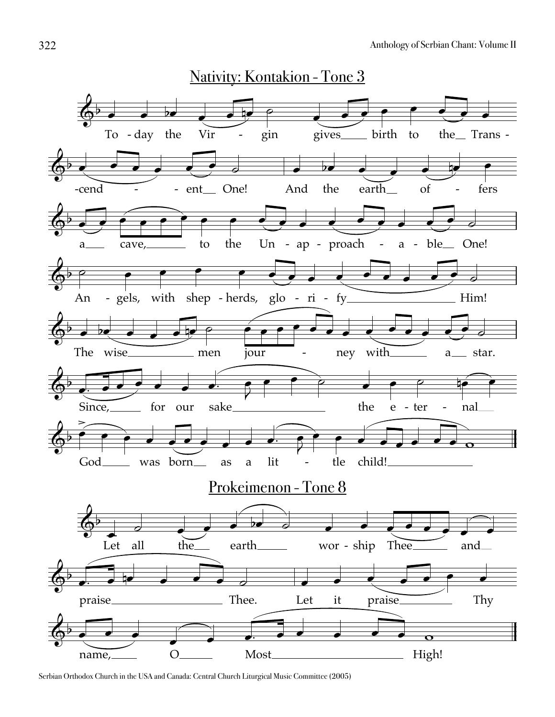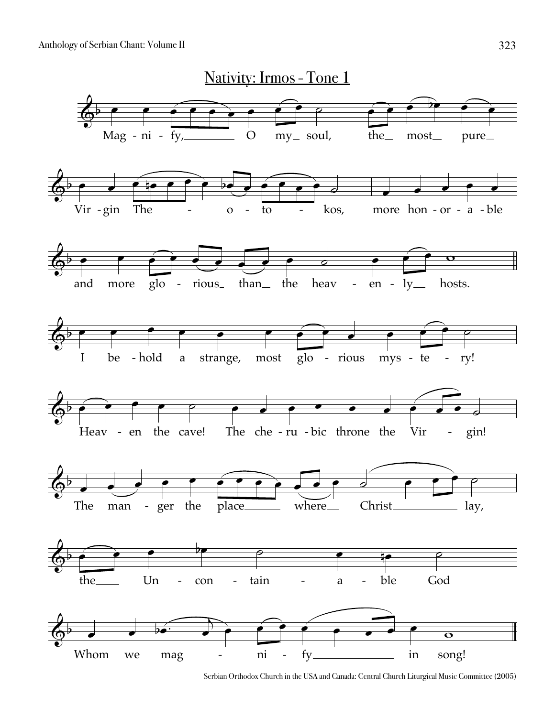

Serbian Orthodox Church in the USA and Canada: Central Church Liturgical Music Committee (2005)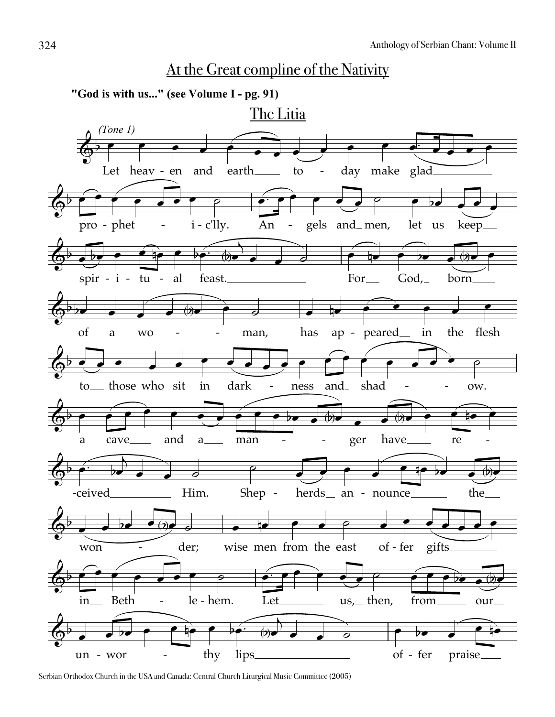## At the Great compline of the Nativity

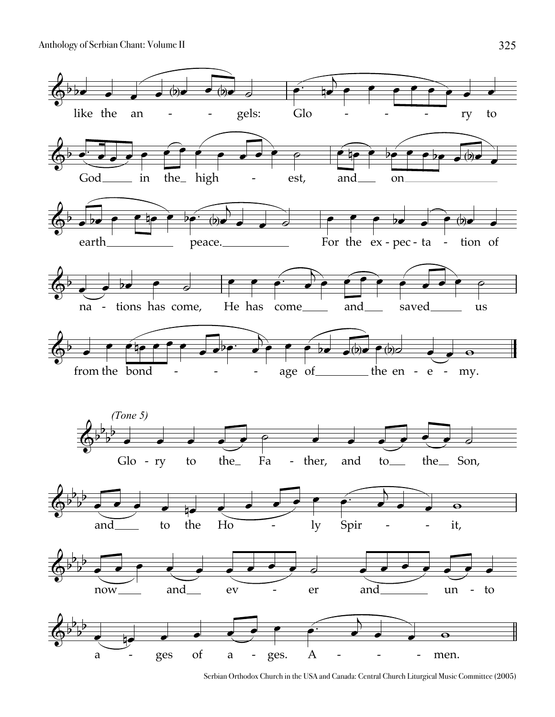

Serbian Orthodox Church in the USA and Canada: Central Church Liturgical Music Committee (2005)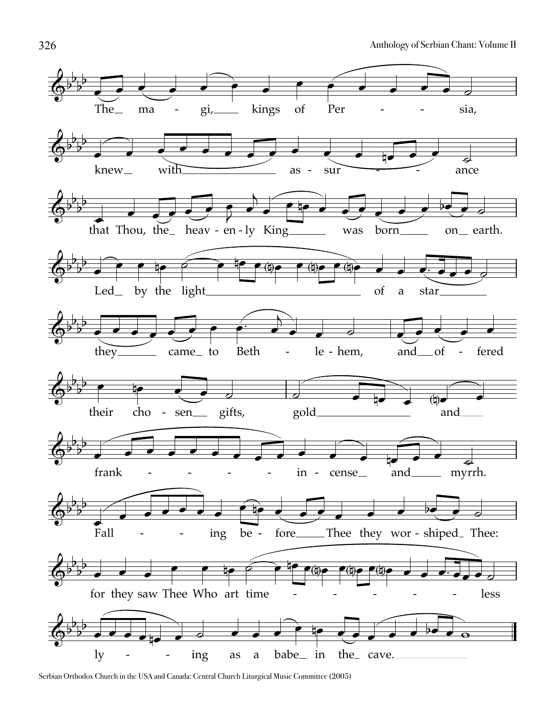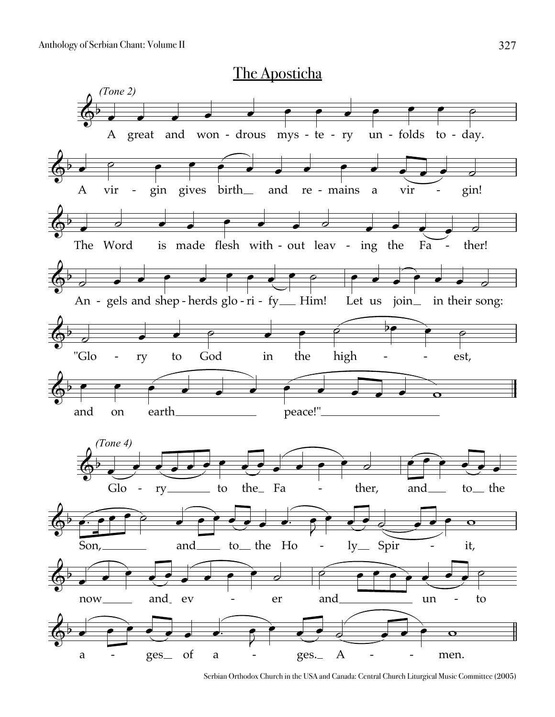

Serbian Orthodox Church in the USA and Canada: Central Church Liturgical Music Committee (2005)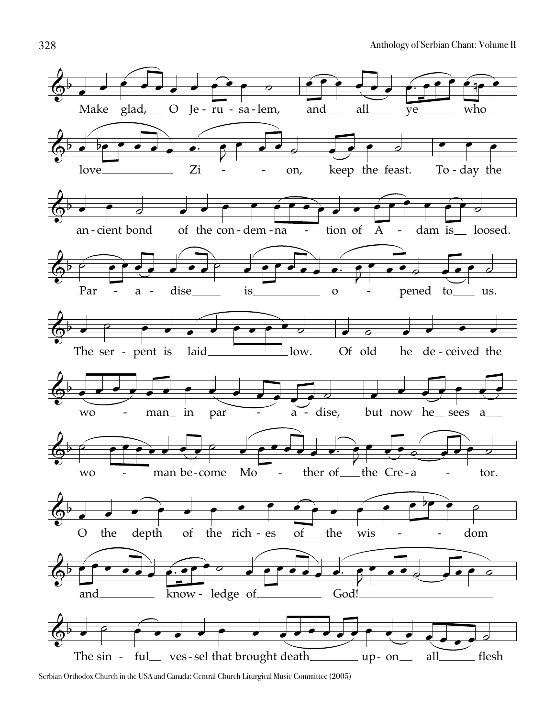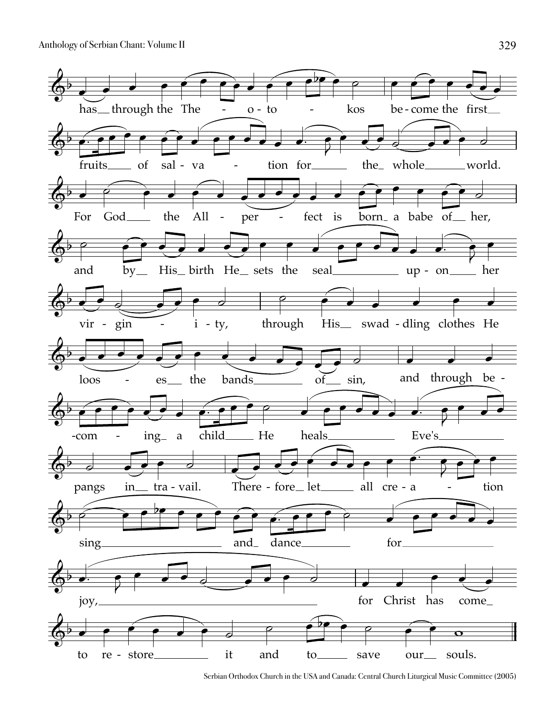

Serbian Orthodox Church in the USA and Canada: Central Church Liturgical Music Committee (2005)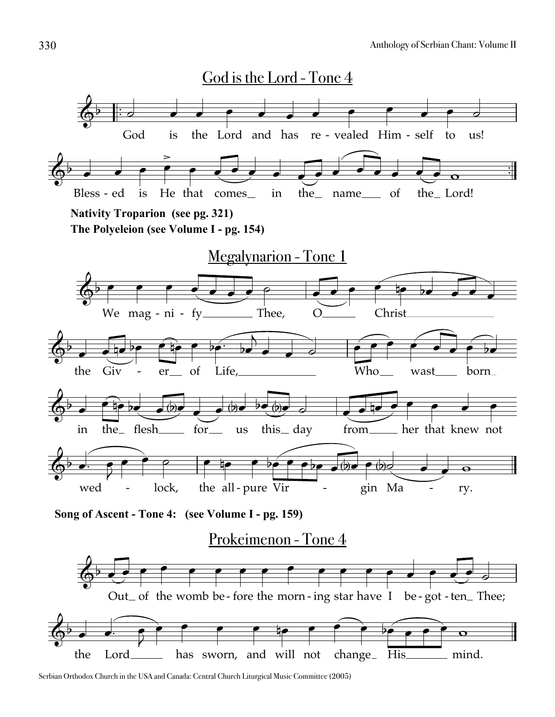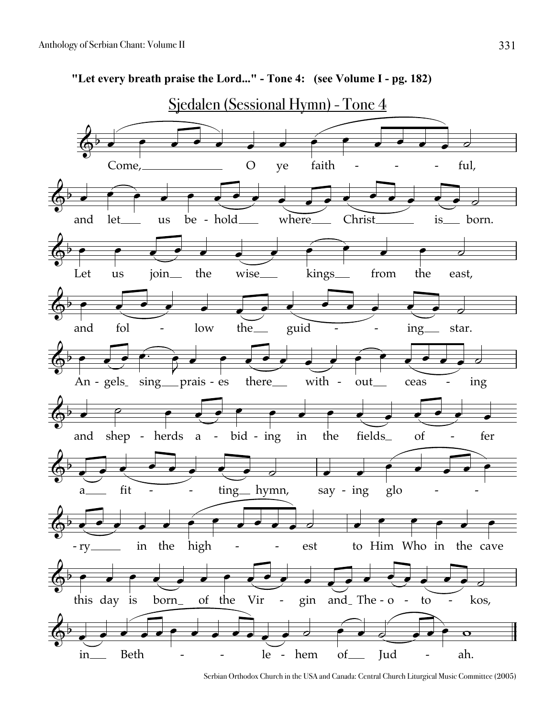

**"Let every breath praise the Lord..." - Tone 4: (see Volume I - pg. 182)**

Serbian Orthodox Church in the USA and Canada: Central Church Liturgical Music Committee (2005)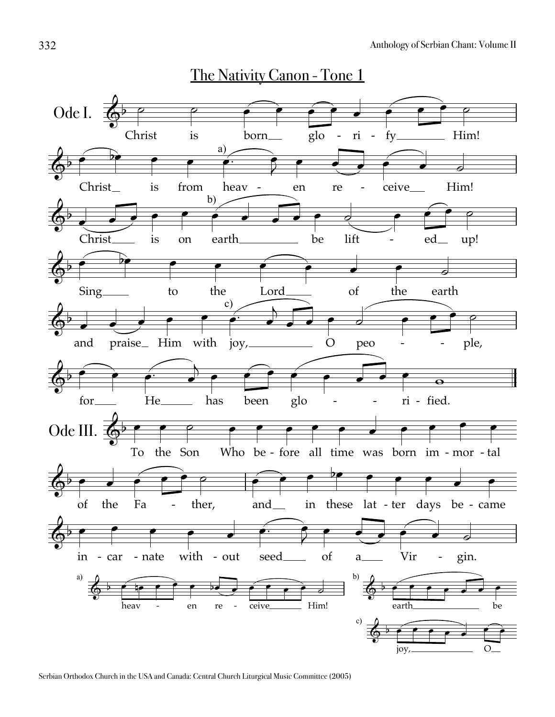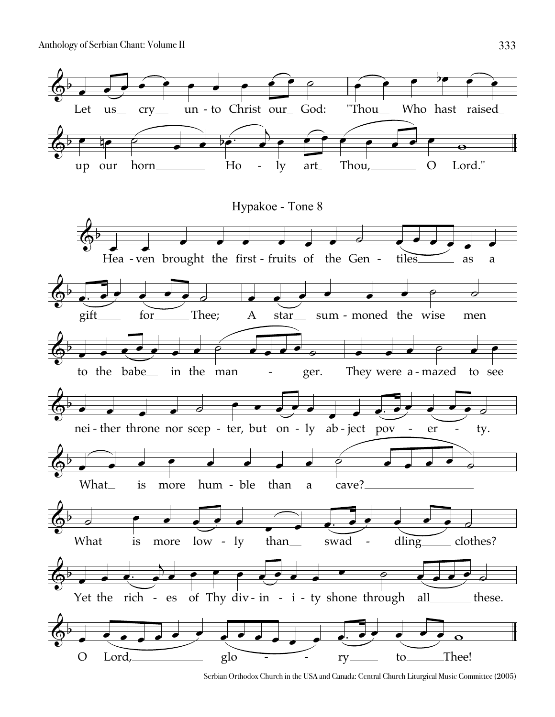

Serbian Orthodox Church in the USA and Canada: Central Church Liturgical Music Committee (2005)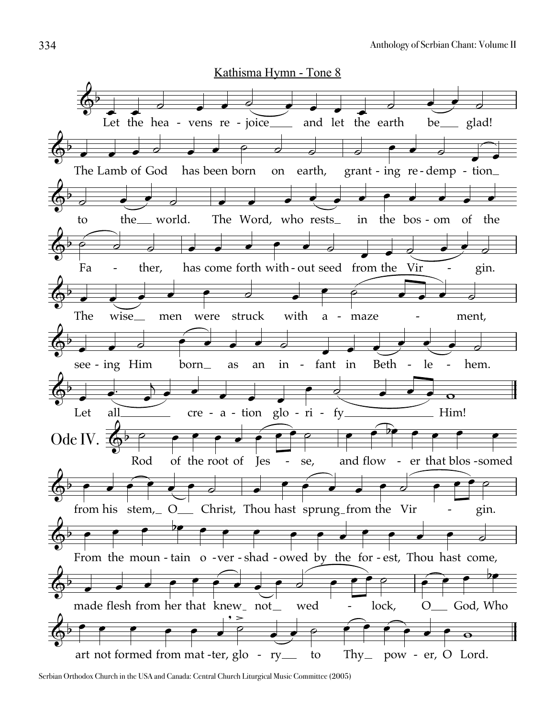

Serbian Orthodox Church in the USA and Canada: Central Church Liturgical Music Committee (2005)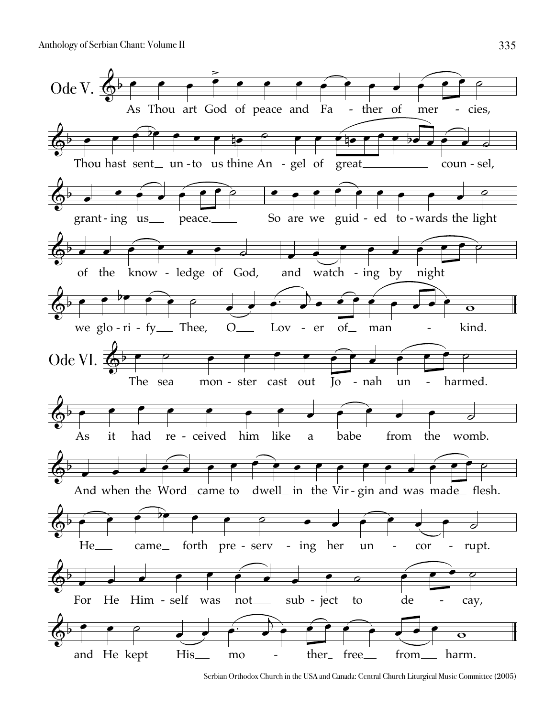

Serbian Orthodox Church in the USA and Canada: Central Church Liturgical Music Committee (2005)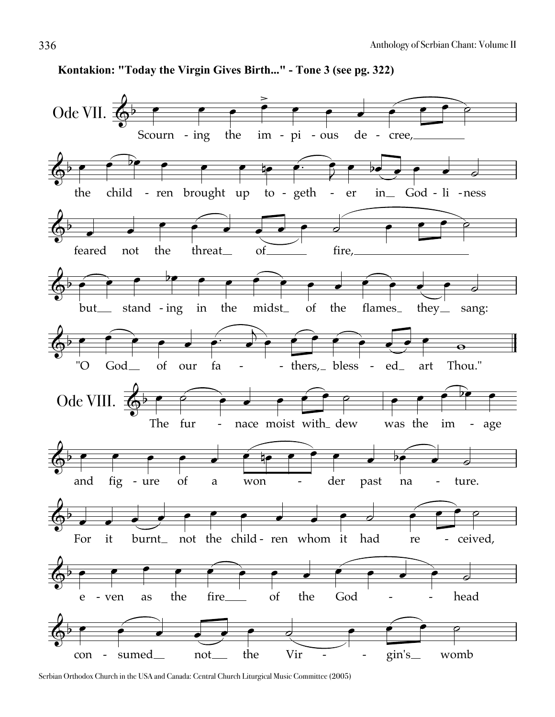

Kontakion: "Today the Virgin Gives Birth..." - Tone 3 (see pg. 322)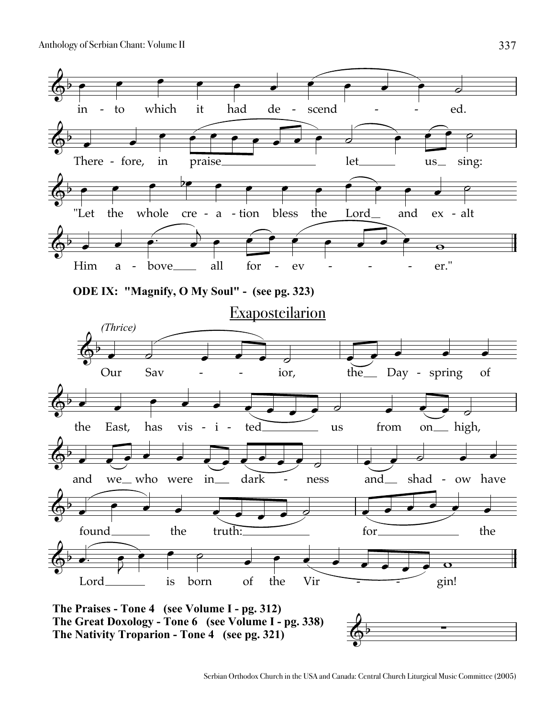Anthology of Serbian Chant: Volume II



337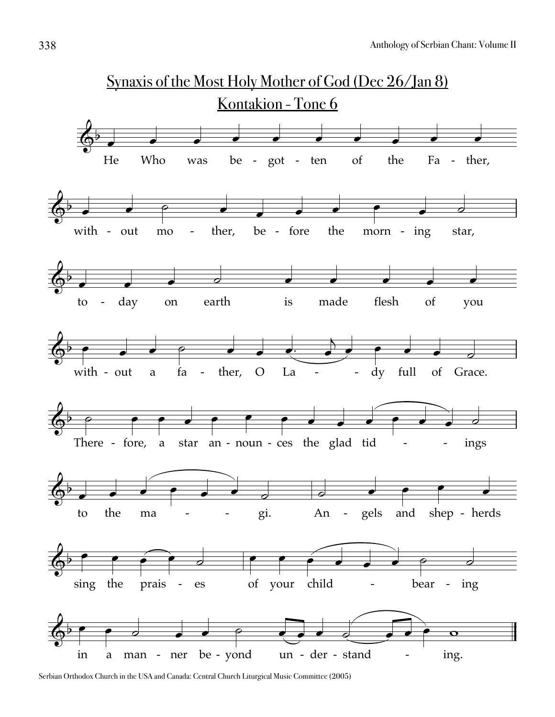

Serbian Orthodox Church in the USA and Canada: Central Church Liturgical Music Committee (2005)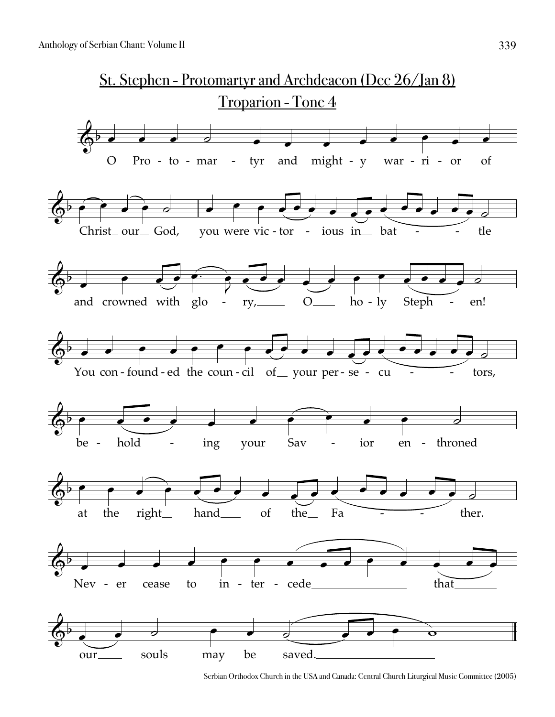

Serbian Orthodox Church in the USA and Canada: Central Church Liturgical Music Committee (2005)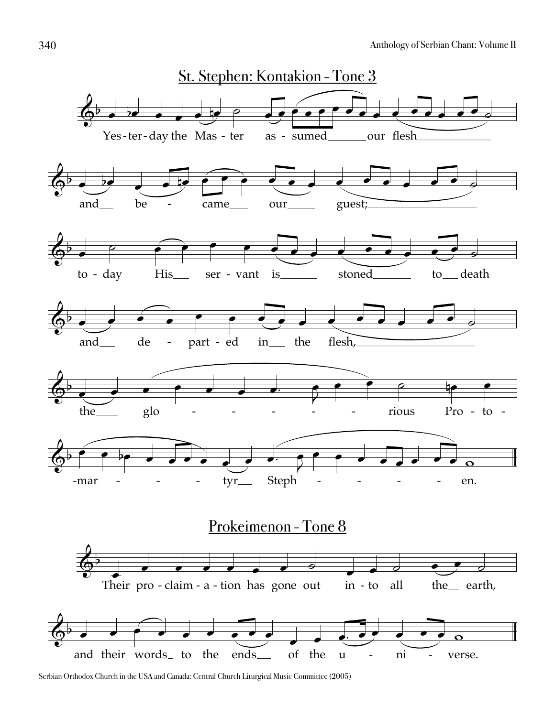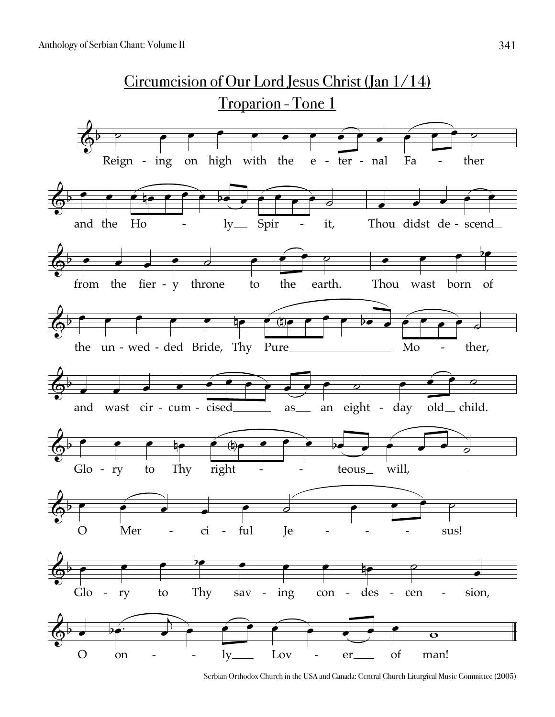

Serbian Orthodox Church in the USA and Canada: Central Church Liturgical Music Committee (2005)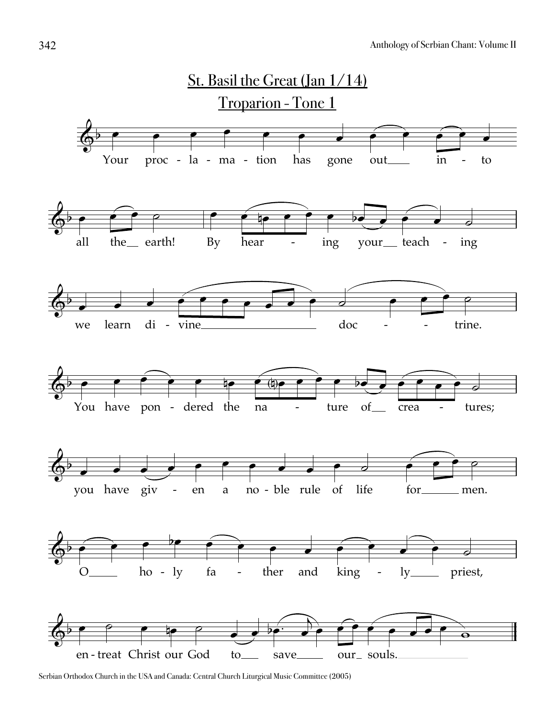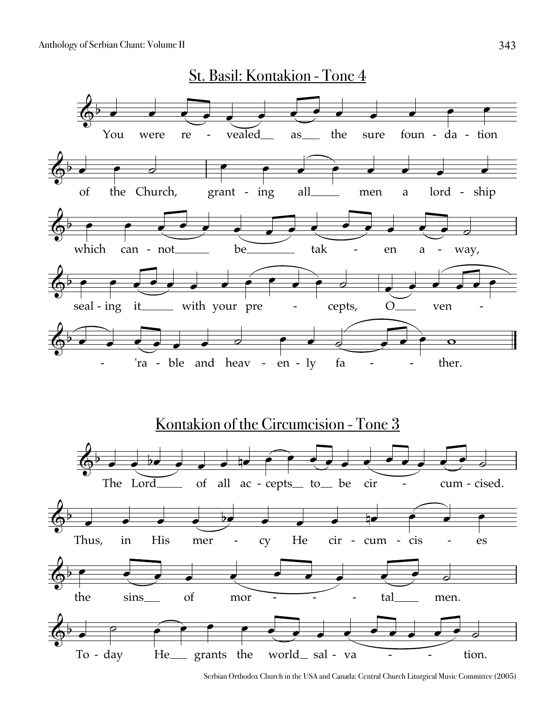

Serbian Orthodox Church in the USA and Canada: Central Church Liturgical Music Committee (2005)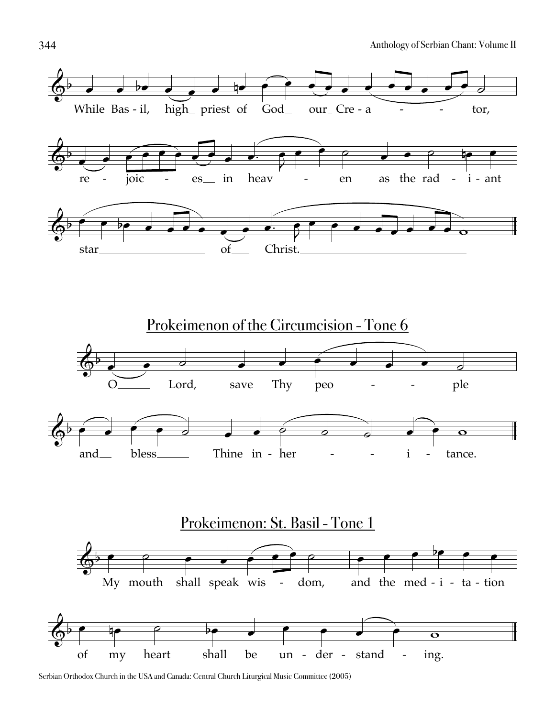

Serbian Orthodox Church in the USA and Canada: Central Church Liturgical Music Committee (2005)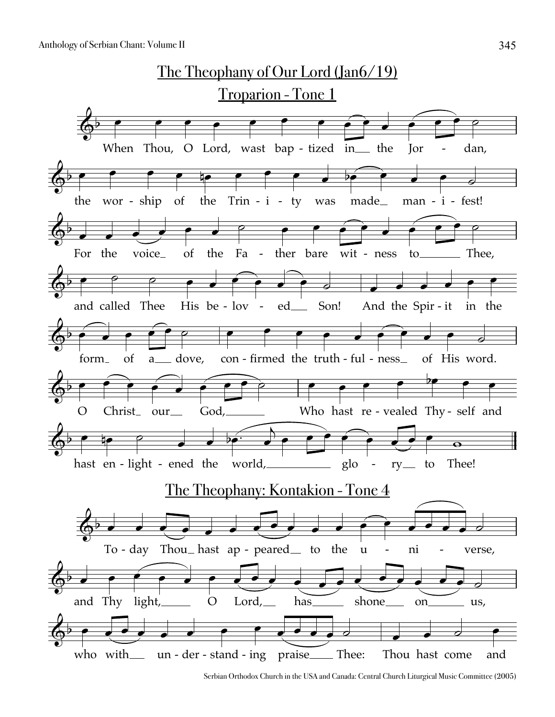

Serbian Orthodox Church in the USA and Canada: Central Church Liturgical Music Committee (2005)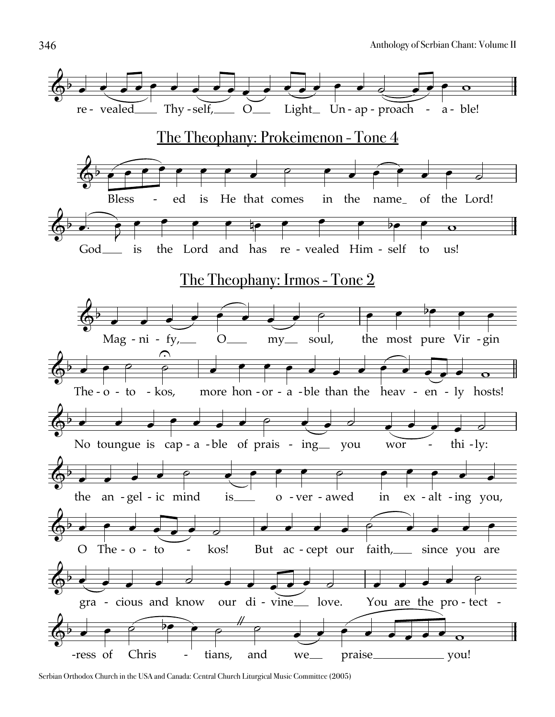

Serbian Orthodox Church in the USA and Canada: Central Church Liturgical Music Committee (2005)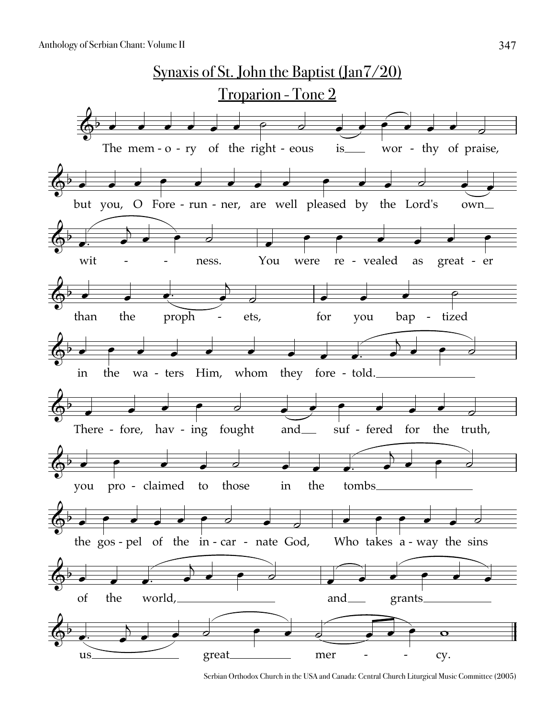

Serbian Orthodox Church in the USA and Canada: Central Church Liturgical Music Committee (2005)